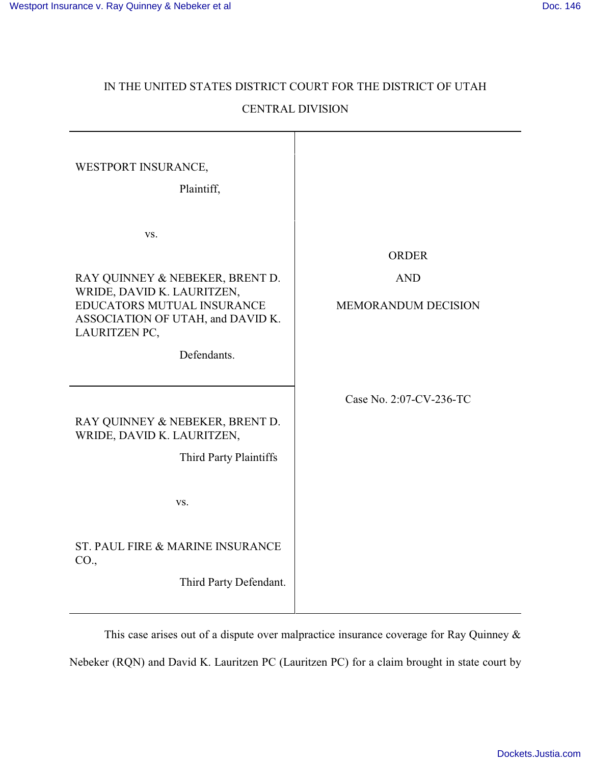# IN THE UNITED STATES DISTRICT COURT FOR THE DISTRICT OF UTAH CENTRAL DIVISION

| WESTPORT INSURANCE,<br>Plaintiff,                                                                                                                                       |                                                          |
|-------------------------------------------------------------------------------------------------------------------------------------------------------------------------|----------------------------------------------------------|
| VS.<br>RAY QUINNEY & NEBEKER, BRENT D.<br>WRIDE, DAVID K. LAURITZEN,<br>EDUCATORS MUTUAL INSURANCE<br>ASSOCIATION OF UTAH, and DAVID K.<br>LAURITZEN PC,<br>Defendants. | <b>ORDER</b><br><b>AND</b><br><b>MEMORANDUM DECISION</b> |
| RAY QUINNEY & NEBEKER, BRENT D.<br>WRIDE, DAVID K. LAURITZEN,<br>Third Party Plaintiffs<br>VS.                                                                          | Case No. 2:07-CV-236-TC                                  |
| ST. PAUL FIRE & MARINE INSURANCE<br>CO.,<br>Third Party Defendant.                                                                                                      |                                                          |

This case arises out of a dispute over malpractice insurance coverage for Ray Quinney & Nebeker (RQN) and David K. Lauritzen PC (Lauritzen PC) for a claim brought in state court by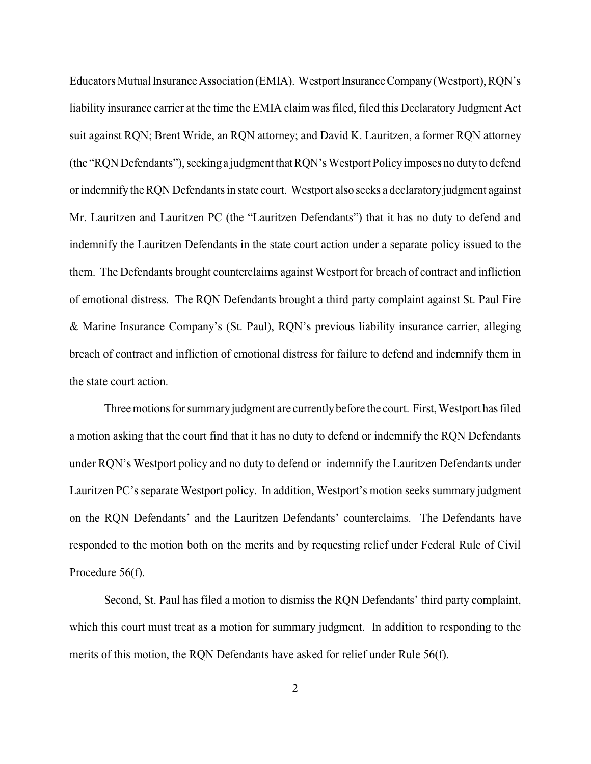Educators Mutual Insurance Association (EMIA). Westport Insurance Company(Westport), RQN's liability insurance carrier at the time the EMIA claim was filed, filed this Declaratory Judgment Act suit against RQN; Brent Wride, an RQN attorney; and David K. Lauritzen, a former RQN attorney (the "RQN Defendants"), seeking a judgment that RQN's Westport Policyimposes no dutyto defend or indemnify the RQN Defendants in state court. Westport also seeks a declaratoryjudgment against Mr. Lauritzen and Lauritzen PC (the "Lauritzen Defendants") that it has no duty to defend and indemnify the Lauritzen Defendants in the state court action under a separate policy issued to the them. The Defendants brought counterclaims against Westport for breach of contract and infliction of emotional distress. The RQN Defendants brought a third party complaint against St. Paul Fire & Marine Insurance Company's (St. Paul), RQN's previous liability insurance carrier, alleging breach of contract and infliction of emotional distress for failure to defend and indemnify them in the state court action.

Three motions for summary judgment are currently before the court. First, Westport has filed a motion asking that the court find that it has no duty to defend or indemnify the RQN Defendants under RQN's Westport policy and no duty to defend or indemnify the Lauritzen Defendants under Lauritzen PC's separate Westport policy. In addition, Westport's motion seeks summary judgment on the RQN Defendants' and the Lauritzen Defendants' counterclaims. The Defendants have responded to the motion both on the merits and by requesting relief under Federal Rule of Civil Procedure 56(f).

Second, St. Paul has filed a motion to dismiss the RQN Defendants' third party complaint, which this court must treat as a motion for summary judgment. In addition to responding to the merits of this motion, the RQN Defendants have asked for relief under Rule 56(f).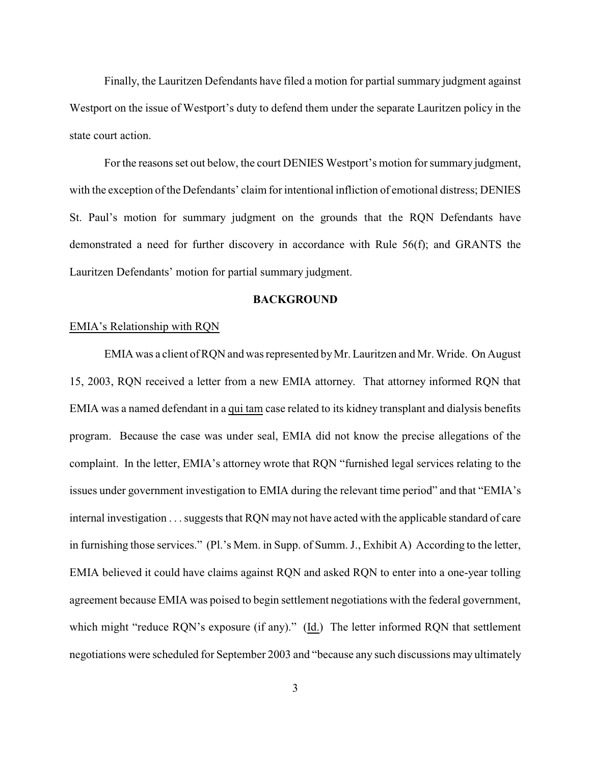Finally, the Lauritzen Defendants have filed a motion for partial summary judgment against Westport on the issue of Westport's duty to defend them under the separate Lauritzen policy in the state court action.

For the reasons set out below, the court DENIES Westport's motion for summary judgment, with the exception of the Defendants' claim for intentional infliction of emotional distress; DENIES St. Paul's motion for summary judgment on the grounds that the RQN Defendants have demonstrated a need for further discovery in accordance with Rule 56(f); and GRANTS the Lauritzen Defendants' motion for partial summary judgment.

## **BACKGROUND**

## EMIA's Relationship with RQN

EMIA was a client of RQN and was represented byMr. Lauritzen and Mr. Wride. On August 15, 2003, RQN received a letter from a new EMIA attorney. That attorney informed RQN that EMIA was a named defendant in a qui tam case related to its kidney transplant and dialysis benefits program. Because the case was under seal, EMIA did not know the precise allegations of the complaint. In the letter, EMIA's attorney wrote that RQN "furnished legal services relating to the issues under government investigation to EMIA during the relevant time period" and that "EMIA's internal investigation . . . suggests that RQN may not have acted with the applicable standard of care in furnishing those services." (Pl.'s Mem. in Supp. of Summ. J., Exhibit A) According to the letter, EMIA believed it could have claims against RQN and asked RQN to enter into a one-year tolling agreement because EMIA was poised to begin settlement negotiations with the federal government, which might "reduce RQN's exposure (if any)." (Id.) The letter informed RQN that settlement negotiations were scheduled for September 2003 and "because any such discussions may ultimately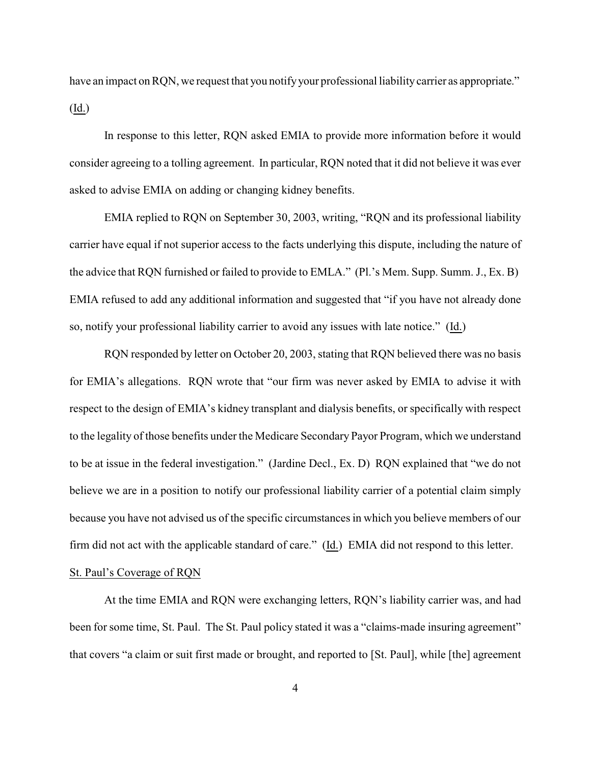have an impact on RQN, we request that you notify your professional liability carrier as appropriate." (Id.)

In response to this letter, RQN asked EMIA to provide more information before it would consider agreeing to a tolling agreement. In particular, RQN noted that it did not believe it was ever asked to advise EMIA on adding or changing kidney benefits.

EMIA replied to RQN on September 30, 2003, writing, "RQN and its professional liability carrier have equal if not superior access to the facts underlying this dispute, including the nature of the advice that RQN furnished or failed to provide to EMLA." (Pl.'s Mem. Supp. Summ. J., Ex. B) EMIA refused to add any additional information and suggested that "if you have not already done so, notify your professional liability carrier to avoid any issues with late notice." (Id.)

RQN responded by letter on October 20, 2003, stating that RQN believed there was no basis for EMIA's allegations. RQN wrote that "our firm was never asked by EMIA to advise it with respect to the design of EMIA's kidney transplant and dialysis benefits, or specifically with respect to the legality of those benefits under the Medicare Secondary Payor Program, which we understand to be at issue in the federal investigation." (Jardine Decl., Ex. D) RQN explained that "we do not believe we are in a position to notify our professional liability carrier of a potential claim simply because you have not advised us of the specific circumstances in which you believe members of our firm did not act with the applicable standard of care." (Id.) EMIA did not respond to this letter.

# St. Paul's Coverage of RQN

At the time EMIA and RQN were exchanging letters, RQN's liability carrier was, and had been for some time, St. Paul. The St. Paul policy stated it was a "claims-made insuring agreement" that covers "a claim or suit first made or brought, and reported to [St. Paul], while [the] agreement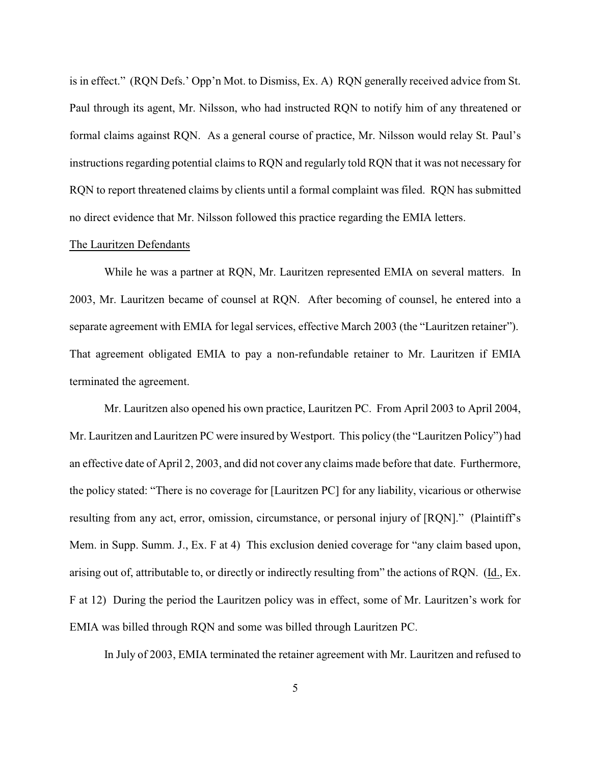is in effect." (RQN Defs.' Opp'n Mot. to Dismiss, Ex. A) RQN generally received advice from St. Paul through its agent, Mr. Nilsson, who had instructed RQN to notify him of any threatened or formal claims against RQN. As a general course of practice, Mr. Nilsson would relay St. Paul's instructions regarding potential claims to RQN and regularly told RQN that it was not necessary for RQN to report threatened claims by clients until a formal complaint was filed. RQN has submitted no direct evidence that Mr. Nilsson followed this practice regarding the EMIA letters.

#### The Lauritzen Defendants

While he was a partner at RQN, Mr. Lauritzen represented EMIA on several matters. In 2003, Mr. Lauritzen became of counsel at RQN. After becoming of counsel, he entered into a separate agreement with EMIA for legal services, effective March 2003 (the "Lauritzen retainer"). That agreement obligated EMIA to pay a non-refundable retainer to Mr. Lauritzen if EMIA terminated the agreement.

Mr. Lauritzen also opened his own practice, Lauritzen PC. From April 2003 to April 2004, Mr. Lauritzen and Lauritzen PC were insured by Westport. This policy (the "Lauritzen Policy") had an effective date of April 2, 2003, and did not cover any claims made before that date. Furthermore, the policy stated: "There is no coverage for [Lauritzen PC] for any liability, vicarious or otherwise resulting from any act, error, omission, circumstance, or personal injury of [RQN]." (Plaintiff's Mem. in Supp. Summ. J., Ex. F at 4) This exclusion denied coverage for "any claim based upon, arising out of, attributable to, or directly or indirectly resulting from" the actions of RQN. (Id., Ex. F at 12) During the period the Lauritzen policy was in effect, some of Mr. Lauritzen's work for EMIA was billed through RQN and some was billed through Lauritzen PC.

In July of 2003, EMIA terminated the retainer agreement with Mr. Lauritzen and refused to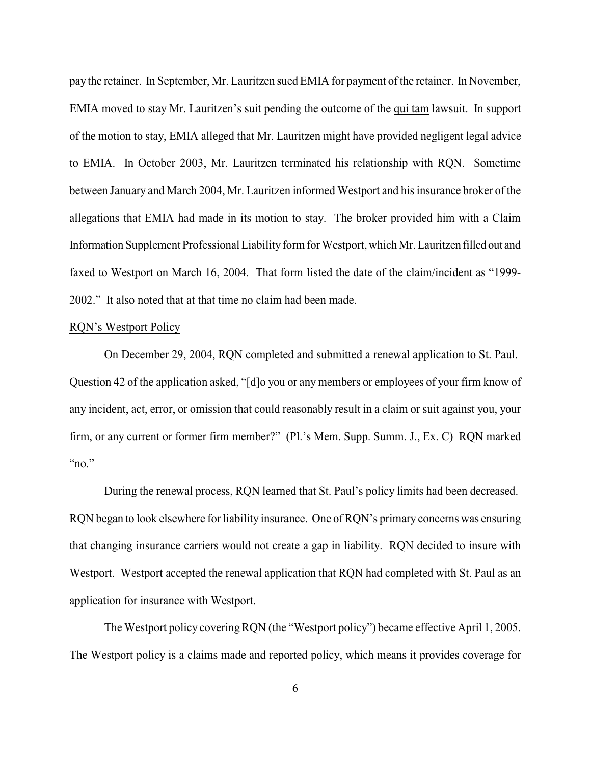pay the retainer. In September, Mr. Lauritzen sued EMIA for payment of the retainer. In November, EMIA moved to stay Mr. Lauritzen's suit pending the outcome of the qui tam lawsuit. In support of the motion to stay, EMIA alleged that Mr. Lauritzen might have provided negligent legal advice to EMIA. In October 2003, Mr. Lauritzen terminated his relationship with RQN. Sometime between January and March 2004, Mr. Lauritzen informed Westport and his insurance broker of the allegations that EMIA had made in its motion to stay. The broker provided him with a Claim Information Supplement Professional Liability form for Westport, which Mr. Lauritzen filled out and faxed to Westport on March 16, 2004. That form listed the date of the claim/incident as "1999- 2002." It also noted that at that time no claim had been made.

#### RQN's Westport Policy

On December 29, 2004, RQN completed and submitted a renewal application to St. Paul. Question 42 of the application asked, "[d]o you or any members or employees of your firm know of any incident, act, error, or omission that could reasonably result in a claim or suit against you, your firm, or any current or former firm member?" (Pl.'s Mem. Supp. Summ. J., Ex. C) RQN marked " $"no."$ 

During the renewal process, RQN learned that St. Paul's policy limits had been decreased. RQN began to look elsewhere for liability insurance. One of RQN's primary concerns was ensuring that changing insurance carriers would not create a gap in liability. RQN decided to insure with Westport. Westport accepted the renewal application that RQN had completed with St. Paul as an application for insurance with Westport.

The Westport policy covering RQN (the "Westport policy") became effective April 1, 2005. The Westport policy is a claims made and reported policy, which means it provides coverage for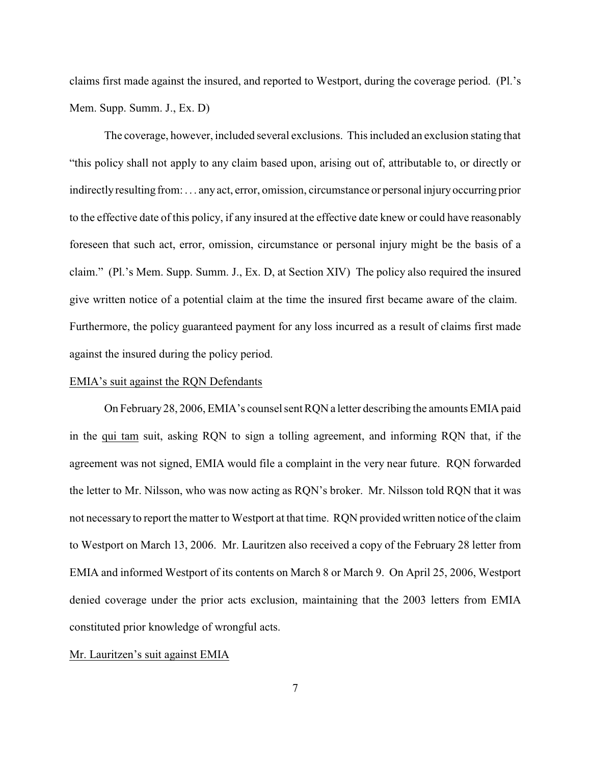claims first made against the insured, and reported to Westport, during the coverage period. (Pl.'s Mem. Supp. Summ. J., Ex. D)

The coverage, however, included several exclusions. This included an exclusion stating that "this policy shall not apply to any claim based upon, arising out of, attributable to, or directly or indirectlyresulting from: . . . anyact, error, omission, circumstance or personal injuryoccurring prior to the effective date of this policy, if any insured at the effective date knew or could have reasonably foreseen that such act, error, omission, circumstance or personal injury might be the basis of a claim." (Pl.'s Mem. Supp. Summ. J., Ex. D, at Section XIV) The policy also required the insured give written notice of a potential claim at the time the insured first became aware of the claim. Furthermore, the policy guaranteed payment for any loss incurred as a result of claims first made against the insured during the policy period.

## EMIA's suit against the RQN Defendants

On February 28, 2006, EMIA's counsel sent RQN a letter describing the amounts EMIA paid in the qui tam suit, asking RQN to sign a tolling agreement, and informing RQN that, if the agreement was not signed, EMIA would file a complaint in the very near future. RQN forwarded the letter to Mr. Nilsson, who was now acting as RQN's broker. Mr. Nilsson told RQN that it was not necessary to report the matter to Westport at that time. RQN provided written notice of the claim to Westport on March 13, 2006. Mr. Lauritzen also received a copy of the February 28 letter from EMIA and informed Westport of its contents on March 8 or March 9. On April 25, 2006, Westport denied coverage under the prior acts exclusion, maintaining that the 2003 letters from EMIA constituted prior knowledge of wrongful acts.

#### Mr. Lauritzen's suit against EMIA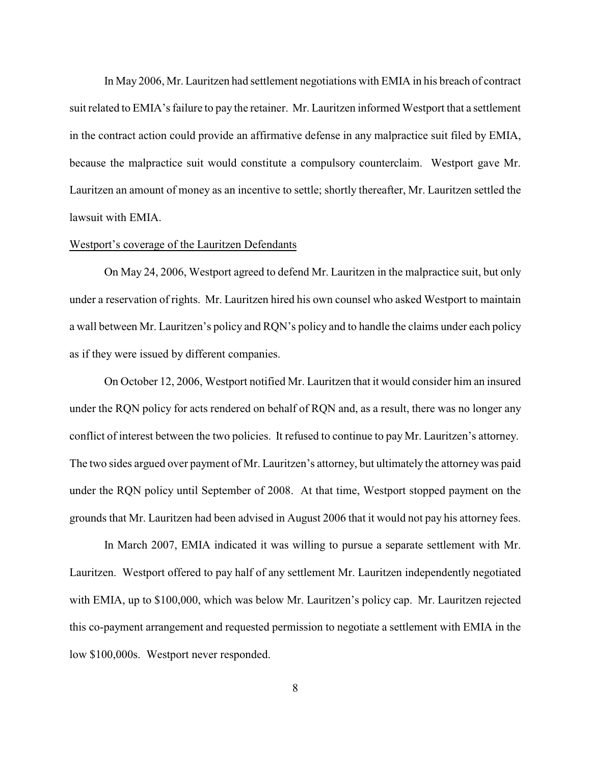In May 2006, Mr. Lauritzen had settlement negotiations with EMIA in his breach of contract suit related to EMIA's failure to pay the retainer. Mr. Lauritzen informed Westport that a settlement in the contract action could provide an affirmative defense in any malpractice suit filed by EMIA, because the malpractice suit would constitute a compulsory counterclaim. Westport gave Mr. Lauritzen an amount of money as an incentive to settle; shortly thereafter, Mr. Lauritzen settled the lawsuit with EMIA.

## Westport's coverage of the Lauritzen Defendants

On May 24, 2006, Westport agreed to defend Mr. Lauritzen in the malpractice suit, but only under a reservation of rights. Mr. Lauritzen hired his own counsel who asked Westport to maintain a wall between Mr. Lauritzen's policy and RQN's policy and to handle the claims under each policy as if they were issued by different companies.

On October 12, 2006, Westport notified Mr. Lauritzen that it would consider him an insured under the RQN policy for acts rendered on behalf of RQN and, as a result, there was no longer any conflict of interest between the two policies. It refused to continue to pay Mr. Lauritzen's attorney. The two sides argued over payment of Mr. Lauritzen's attorney, but ultimately the attorneywas paid under the RQN policy until September of 2008. At that time, Westport stopped payment on the grounds that Mr. Lauritzen had been advised in August 2006 that it would not pay his attorney fees.

In March 2007, EMIA indicated it was willing to pursue a separate settlement with Mr. Lauritzen. Westport offered to pay half of any settlement Mr. Lauritzen independently negotiated with EMIA, up to \$100,000, which was below Mr. Lauritzen's policy cap. Mr. Lauritzen rejected this co-payment arrangement and requested permission to negotiate a settlement with EMIA in the low \$100,000s. Westport never responded.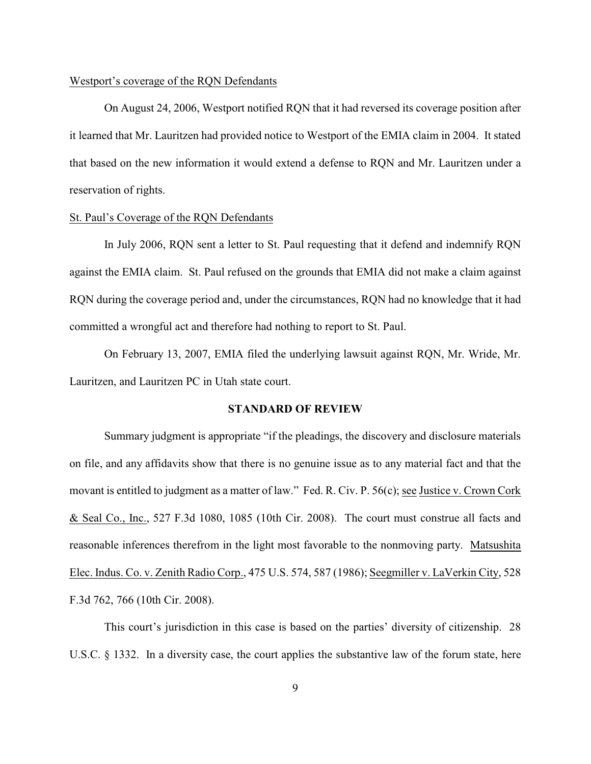#### Westport's coverage of the RQN Defendants

On August 24, 2006, Westport notified RQN that it had reversed its coverage position after it learned that Mr. Lauritzen had provided notice to Westport of the EMIA claim in 2004. It stated that based on the new information it would extend a defense to RQN and Mr. Lauritzen under a reservation of rights.

## St. Paul's Coverage of the RQN Defendants

In July 2006, RQN sent a letter to St. Paul requesting that it defend and indemnify RQN against the EMIA claim. St. Paul refused on the grounds that EMIA did not make a claim against RQN during the coverage period and, under the circumstances, RQN had no knowledge that it had committed a wrongful act and therefore had nothing to report to St. Paul.

On February 13, 2007, EMIA filed the underlying lawsuit against RQN, Mr. Wride, Mr. Lauritzen, and Lauritzen PC in Utah state court.

## **STANDARD OF REVIEW**

Summary judgment is appropriate "if the pleadings, the discovery and disclosure materials on file, and any affidavits show that there is no genuine issue as to any material fact and that the movant is entitled to judgment as a matter of law." Fed. R. Civ. P. 56(c); see Justice v. Crown Cork & Seal Co., Inc., 527 F.3d 1080, 1085 (10th Cir. 2008). The court must construe all facts and reasonable inferences therefrom in the light most favorable to the nonmoving party. Matsushita Elec. Indus. Co. v. Zenith Radio Corp., 475 U.S. 574, 587 (1986); Seegmiller v. LaVerkin City, 528 F.3d 762, 766 (10th Cir. 2008).

This court's jurisdiction in this case is based on the parties' diversity of citizenship. 28 U.S.C. § 1332. In a diversity case, the court applies the substantive law of the forum state, here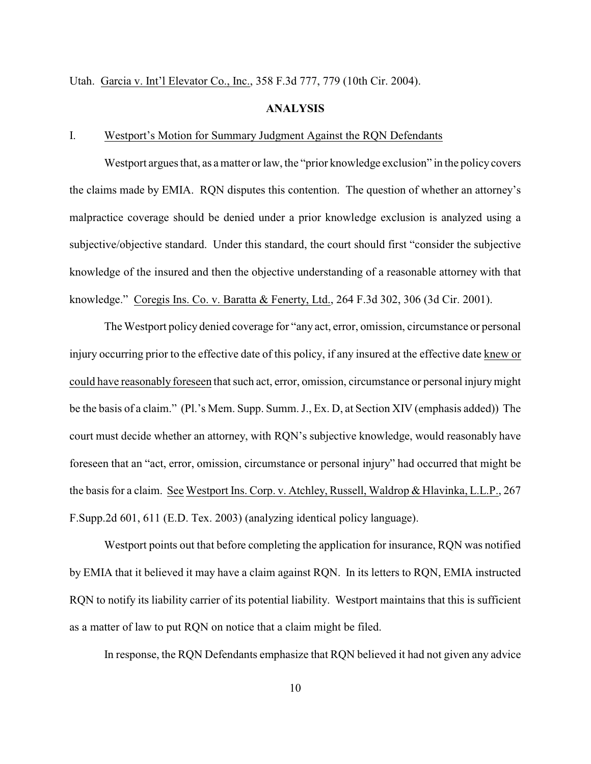Utah. Garcia v. Int'l Elevator Co., Inc., 358 F.3d 777, 779 (10th Cir. 2004).

## **ANALYSIS**

## I. Westport's Motion for Summary Judgment Against the RQN Defendants

Westport argues that, as a matter or law, the "prior knowledge exclusion" in the policy covers the claims made by EMIA. RQN disputes this contention. The question of whether an attorney's malpractice coverage should be denied under a prior knowledge exclusion is analyzed using a subjective/objective standard. Under this standard, the court should first "consider the subjective knowledge of the insured and then the objective understanding of a reasonable attorney with that knowledge." Coregis Ins. Co. v. Baratta & Fenerty, Ltd., 264 F.3d 302, 306 (3d Cir. 2001).

The Westport policy denied coverage for "any act, error, omission, circumstance or personal injury occurring prior to the effective date of this policy, if any insured at the effective date knew or could have reasonably foreseen that such act, error, omission, circumstance or personal injurymight be the basis of a claim." (Pl.'s Mem. Supp. Summ. J., Ex. D, at Section XIV (emphasis added)) The court must decide whether an attorney, with RQN's subjective knowledge, would reasonably have foreseen that an "act, error, omission, circumstance or personal injury" had occurred that might be the basis for a claim. See Westport Ins. Corp. v. Atchley, Russell, Waldrop & Hlavinka, L.L.P., 267 F.Supp.2d 601, 611 (E.D. Tex. 2003) (analyzing identical policy language).

Westport points out that before completing the application for insurance, RQN was notified by EMIA that it believed it may have a claim against RQN. In its letters to RQN, EMIA instructed RQN to notify its liability carrier of its potential liability. Westport maintains that this is sufficient as a matter of law to put RQN on notice that a claim might be filed.

In response, the RQN Defendants emphasize that RQN believed it had not given any advice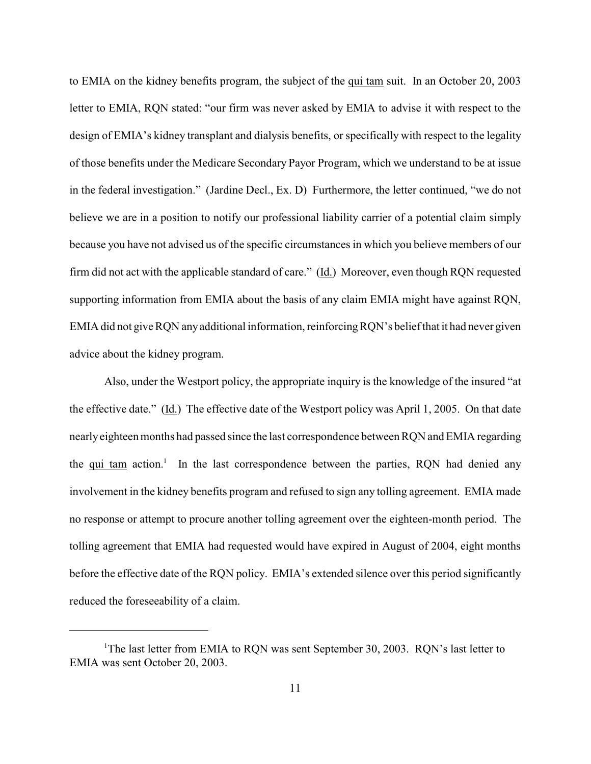to EMIA on the kidney benefits program, the subject of the qui tam suit. In an October 20, 2003 letter to EMIA, RQN stated: "our firm was never asked by EMIA to advise it with respect to the design of EMIA's kidney transplant and dialysis benefits, or specifically with respect to the legality of those benefits under the Medicare Secondary Payor Program, which we understand to be at issue in the federal investigation." (Jardine Decl., Ex. D) Furthermore, the letter continued, "we do not believe we are in a position to notify our professional liability carrier of a potential claim simply because you have not advised us of the specific circumstances in which you believe members of our firm did not act with the applicable standard of care." (Id.) Moreover, even though RQN requested supporting information from EMIA about the basis of any claim EMIA might have against RQN, EMIA did not give RQN anyadditional information, reinforcingRQN's belief that it had never given advice about the kidney program.

Also, under the Westport policy, the appropriate inquiry is the knowledge of the insured "at the effective date." (Id.) The effective date of the Westport policy was April 1, 2005. On that date nearlyeighteen months had passed since the last correspondence between RQN and EMIA regarding the qui tam action.<sup>1</sup> In the last correspondence between the parties, RQN had denied any involvement in the kidney benefits program and refused to sign any tolling agreement. EMIA made no response or attempt to procure another tolling agreement over the eighteen-month period. The tolling agreement that EMIA had requested would have expired in August of 2004, eight months before the effective date of the RQN policy. EMIA's extended silence over this period significantly reduced the foreseeability of a claim.

<sup>&</sup>lt;sup>1</sup>The last letter from EMIA to RON was sent September 30, 2003. RON's last letter to EMIA was sent October 20, 2003.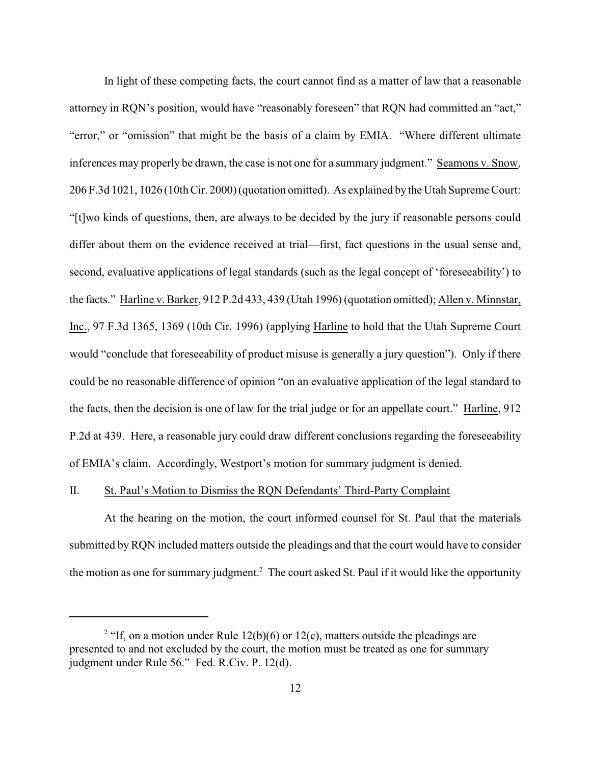In light of these competing facts, the court cannot find as a matter of law that a reasonable attorney in RQN's position, would have "reasonably foreseen" that RQN had committed an "act," "error," or "omission" that might be the basis of a claim by EMIA. "Where different ultimate inferences may properly be drawn, the case is not one for a summary judgment." Seamons v. Snow, 206 F.3d 1021, 1026 (10th Cir. 2000) (quotation omitted). As explained by the Utah Supreme Court: "[t]wo kinds of questions, then, are always to be decided by the jury if reasonable persons could differ about them on the evidence received at trial—first, fact questions in the usual sense and, second, evaluative applications of legal standards (such as the legal concept of 'foreseeability') to the facts." Harline v. Barker, 912 P.2d 433, 439 (Utah 1996) (quotation omitted); Allen v. Minnstar, Inc., 97 F.3d 1365, 1369 (10th Cir. 1996) (applying Harline to hold that the Utah Supreme Court would "conclude that foreseeability of product misuse is generally a jury question"). Only if there could be no reasonable difference of opinion "on an evaluative application of the legal standard to the facts, then the decision is one of law for the trial judge or for an appellate court." Harline, 912 P.2d at 439. Here, a reasonable jury could draw different conclusions regarding the foreseeability of EMIA's claim. Accordingly, Westport's motion for summary judgment is denied.

## II. St. Paul's Motion to Dismiss the RQN Defendants' Third-Party Complaint

At the hearing on the motion, the court informed counsel for St. Paul that the materials submitted by RQN included matters outside the pleadings and that the court would have to consider the motion as one for summary judgment.<sup>2</sup> The court asked St. Paul if it would like the opportunity

<sup>&</sup>lt;sup>2</sup> "If, on a motion under Rule 12(b)(6) or 12(c), matters outside the pleadings are presented to and not excluded by the court, the motion must be treated as one for summary judgment under Rule 56." Fed. R.Civ. P. 12(d).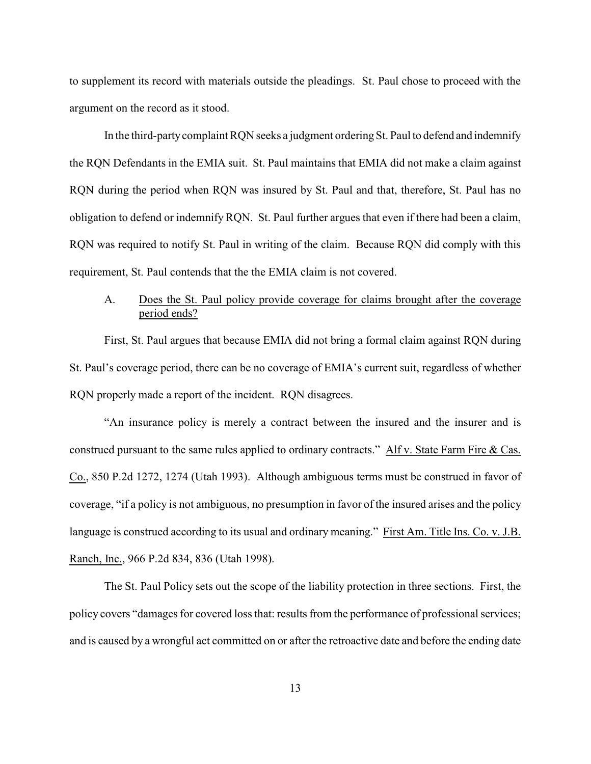to supplement its record with materials outside the pleadings. St. Paul chose to proceed with the argument on the record as it stood.

In the third-partycomplaint RQN seeks a judgment ordering St. Paul to defend and indemnify the RQN Defendants in the EMIA suit. St. Paul maintains that EMIA did not make a claim against RQN during the period when RQN was insured by St. Paul and that, therefore, St. Paul has no obligation to defend or indemnify RQN. St. Paul further argues that even if there had been a claim, RQN was required to notify St. Paul in writing of the claim. Because RQN did comply with this requirement, St. Paul contends that the the EMIA claim is not covered.

# A. Does the St. Paul policy provide coverage for claims brought after the coverage period ends?

First, St. Paul argues that because EMIA did not bring a formal claim against RQN during St. Paul's coverage period, there can be no coverage of EMIA's current suit, regardless of whether RQN properly made a report of the incident. RQN disagrees.

"An insurance policy is merely a contract between the insured and the insurer and is construed pursuant to the same rules applied to ordinary contracts." Alf v. State Farm Fire & Cas. Co., 850 P.2d 1272, 1274 (Utah 1993). Although ambiguous terms must be construed in favor of coverage, "if a policy is not ambiguous, no presumption in favor of the insured arises and the policy language is construed according to its usual and ordinary meaning." First Am. Title Ins. Co. v. J.B. Ranch, Inc., 966 P.2d 834, 836 (Utah 1998).

The St. Paul Policy sets out the scope of the liability protection in three sections. First, the policy covers "damages for covered loss that: results from the performance of professional services; and is caused by a wrongful act committed on or after the retroactive date and before the ending date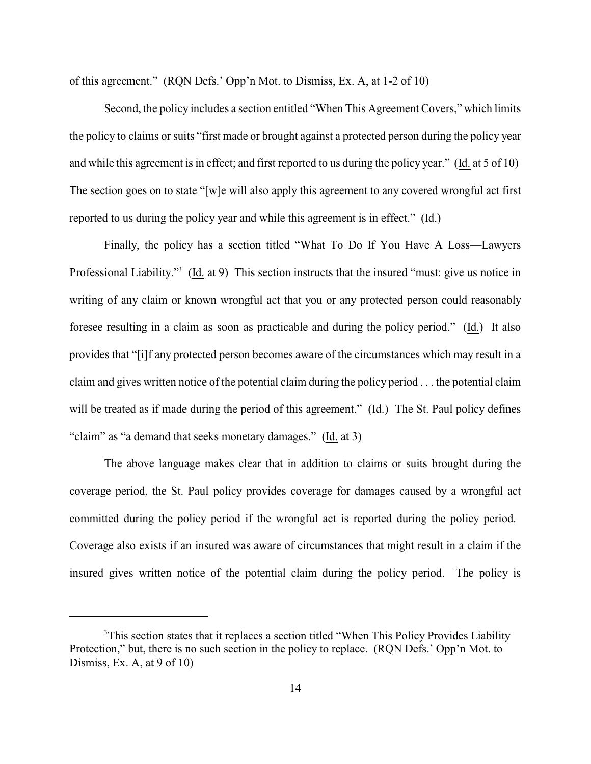of this agreement." (RQN Defs.' Opp'n Mot. to Dismiss, Ex. A, at 1-2 of 10)

Second, the policy includes a section entitled "When This Agreement Covers," which limits the policy to claims or suits "first made or brought against a protected person during the policy year and while this agreement is in effect; and first reported to us during the policy year." (Id. at 5 of 10) The section goes on to state "[w]e will also apply this agreement to any covered wrongful act first reported to us during the policy year and while this agreement is in effect." (Id.)

Finally, the policy has a section titled "What To Do If You Have A Loss—Lawyers Professional Liability."<sup>3</sup> (Id. at 9) This section instructs that the insured "must: give us notice in writing of any claim or known wrongful act that you or any protected person could reasonably foresee resulting in a claim as soon as practicable and during the policy period." (Id.) It also provides that "[i]f any protected person becomes aware of the circumstances which may result in a claim and gives written notice of the potential claim during the policy period . . . the potential claim will be treated as if made during the period of this agreement." (Id.) The St. Paul policy defines "claim" as "a demand that seeks monetary damages." (Id. at 3)

The above language makes clear that in addition to claims or suits brought during the coverage period, the St. Paul policy provides coverage for damages caused by a wrongful act committed during the policy period if the wrongful act is reported during the policy period. Coverage also exists if an insured was aware of circumstances that might result in a claim if the insured gives written notice of the potential claim during the policy period. The policy is

<sup>&</sup>lt;sup>3</sup>This section states that it replaces a section titled "When This Policy Provides Liability Protection," but, there is no such section in the policy to replace. (RQN Defs.' Opp'n Mot. to Dismiss, Ex. A, at  $9 \text{ of } 10$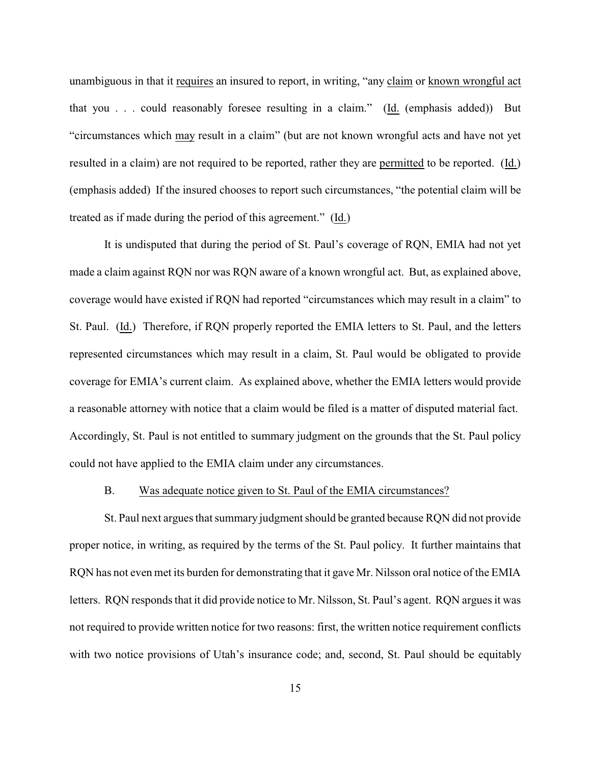unambiguous in that it requires an insured to report, in writing, "any claim or known wrongful act that you . . . could reasonably foresee resulting in a claim." (Id. (emphasis added)) But "circumstances which may result in a claim" (but are not known wrongful acts and have not yet resulted in a claim) are not required to be reported, rather they are permitted to be reported. (Id.) (emphasis added) If the insured chooses to report such circumstances, "the potential claim will be treated as if made during the period of this agreement." (Id.)

It is undisputed that during the period of St. Paul's coverage of RQN, EMIA had not yet made a claim against RQN nor was RQN aware of a known wrongful act. But, as explained above, coverage would have existed if RQN had reported "circumstances which may result in a claim" to St. Paul. (Id.) Therefore, if RQN properly reported the EMIA letters to St. Paul, and the letters represented circumstances which may result in a claim, St. Paul would be obligated to provide coverage for EMIA's current claim. As explained above, whether the EMIA letters would provide a reasonable attorney with notice that a claim would be filed is a matter of disputed material fact. Accordingly, St. Paul is not entitled to summary judgment on the grounds that the St. Paul policy could not have applied to the EMIA claim under any circumstances.

## B. Was adequate notice given to St. Paul of the EMIA circumstances?

St. Paul next argues that summary judgment should be granted because RQN did not provide proper notice, in writing, as required by the terms of the St. Paul policy. It further maintains that RQN has not even met its burden for demonstrating that it gave Mr. Nilsson oral notice of the EMIA letters. RQN responds that it did provide notice to Mr. Nilsson, St. Paul's agent. RQN argues it was not required to provide written notice for two reasons: first, the written notice requirement conflicts with two notice provisions of Utah's insurance code; and, second, St. Paul should be equitably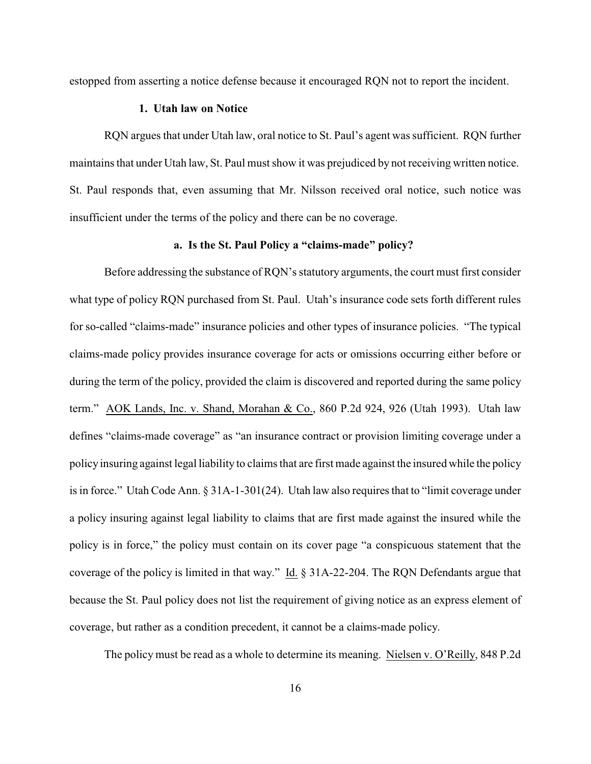estopped from asserting a notice defense because it encouraged RQN not to report the incident.

## **1. Utah law on Notice**

RQN argues that under Utah law, oral notice to St. Paul's agent was sufficient. RQN further maintains that under Utah law, St. Paul must show it was prejudiced by not receiving written notice. St. Paul responds that, even assuming that Mr. Nilsson received oral notice, such notice was insufficient under the terms of the policy and there can be no coverage.

# **a. Is the St. Paul Policy a "claims-made" policy?**

Before addressing the substance of RQN's statutory arguments, the court must first consider what type of policy RQN purchased from St. Paul. Utah's insurance code sets forth different rules for so-called "claims-made" insurance policies and other types of insurance policies. "The typical claims-made policy provides insurance coverage for acts or omissions occurring either before or during the term of the policy, provided the claim is discovered and reported during the same policy term." AOK Lands, Inc. v. Shand, Morahan & Co., 860 P.2d 924, 926 (Utah 1993). Utah law defines "claims-made coverage" as "an insurance contract or provision limiting coverage under a policy insuring against legal liability to claims that are first made against the insured while the policy is in force." Utah Code Ann. § 31A-1-301(24). Utah law also requires that to "limit coverage under a policy insuring against legal liability to claims that are first made against the insured while the policy is in force," the policy must contain on its cover page "a conspicuous statement that the coverage of the policy is limited in that way." Id. § 31A-22-204. The RQN Defendants argue that because the St. Paul policy does not list the requirement of giving notice as an express element of coverage, but rather as a condition precedent, it cannot be a claims-made policy.

The policy must be read as a whole to determine its meaning. Nielsen v. O'Reilly, 848 P.2d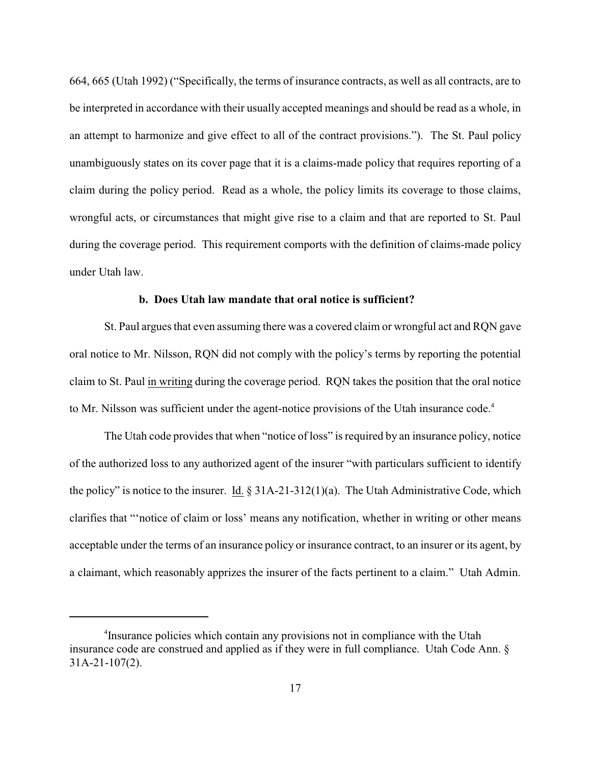664, 665 (Utah 1992) ("Specifically, the terms of insurance contracts, as well as all contracts, are to be interpreted in accordance with their usually accepted meanings and should be read as a whole, in an attempt to harmonize and give effect to all of the contract provisions."). The St. Paul policy unambiguously states on its cover page that it is a claims-made policy that requires reporting of a claim during the policy period. Read as a whole, the policy limits its coverage to those claims, wrongful acts, or circumstances that might give rise to a claim and that are reported to St. Paul during the coverage period. This requirement comports with the definition of claims-made policy under Utah law.

# **b. Does Utah law mandate that oral notice is sufficient?**

St. Paul argues that even assuming there was a covered claim or wrongful act and RQN gave oral notice to Mr. Nilsson, RQN did not comply with the policy's terms by reporting the potential claim to St. Paul in writing during the coverage period. RQN takes the position that the oral notice to Mr. Nilsson was sufficient under the agent-notice provisions of the Utah insurance code.<sup>4</sup>

The Utah code provides that when "notice of loss" is required by an insurance policy, notice of the authorized loss to any authorized agent of the insurer "with particulars sufficient to identify the policy" is notice to the insurer. Id. § 31A-21-312(1)(a). The Utah Administrative Code, which clarifies that "'notice of claim or loss' means any notification, whether in writing or other means acceptable under the terms of an insurance policy or insurance contract, to an insurer or its agent, by a claimant, which reasonably apprizes the insurer of the facts pertinent to a claim." Utah Admin.

<sup>&</sup>lt;sup>4</sup> Insurance policies which contain any provisions not in compliance with the Utah insurance code are construed and applied as if they were in full compliance. Utah Code Ann. § 31A-21-107(2).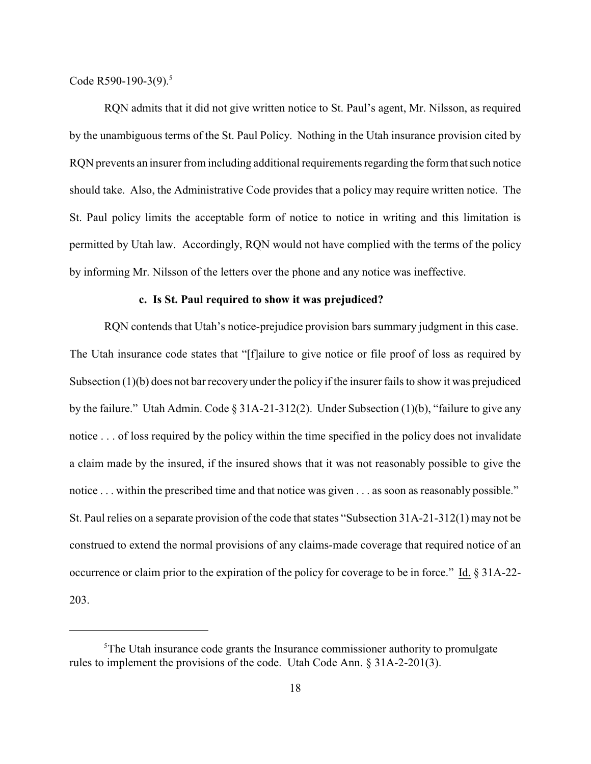Code R590-190-3(9).<sup>5</sup>

RQN admits that it did not give written notice to St. Paul's agent, Mr. Nilsson, as required by the unambiguous terms of the St. Paul Policy. Nothing in the Utah insurance provision cited by RQN prevents an insurer from including additional requirements regarding the form that such notice should take. Also, the Administrative Code provides that a policy may require written notice. The St. Paul policy limits the acceptable form of notice to notice in writing and this limitation is permitted by Utah law. Accordingly, RQN would not have complied with the terms of the policy by informing Mr. Nilsson of the letters over the phone and any notice was ineffective.

## **c. Is St. Paul required to show it was prejudiced?**

RQN contends that Utah's notice-prejudice provision bars summary judgment in this case. The Utah insurance code states that "[f]ailure to give notice or file proof of loss as required by Subsection (1)(b) does not bar recovery under the policy if the insurer fails to show it was prejudiced by the failure." Utah Admin. Code § 31A-21-312(2). Under Subsection (1)(b), "failure to give any notice . . . of loss required by the policy within the time specified in the policy does not invalidate a claim made by the insured, if the insured shows that it was not reasonably possible to give the notice . . . within the prescribed time and that notice was given . . . as soon as reasonably possible." St. Paul relies on a separate provision of the code that states "Subsection 31A-21-312(1) may not be construed to extend the normal provisions of any claims-made coverage that required notice of an occurrence or claim prior to the expiration of the policy for coverage to be in force." Id. § 31A-22- 203.

 $5$ The Utah insurance code grants the Insurance commissioner authority to promulgate rules to implement the provisions of the code. Utah Code Ann. § 31A-2-201(3).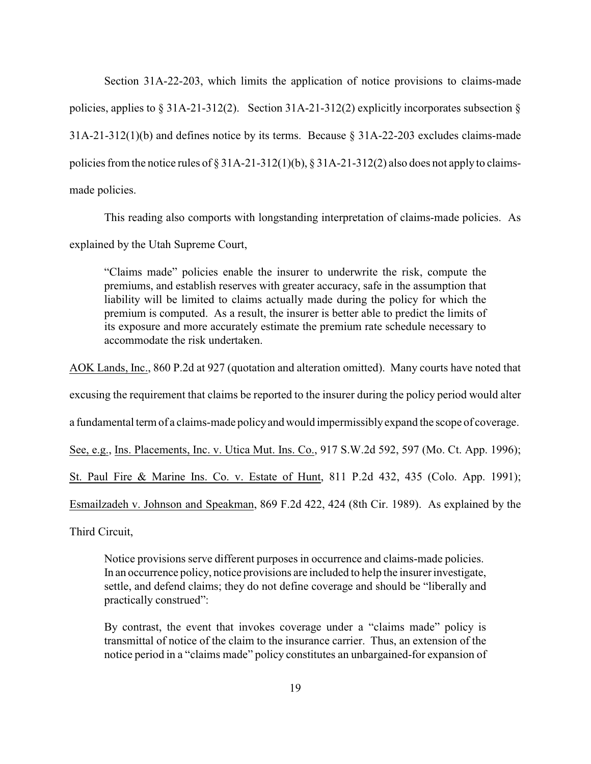Section 31A-22-203, which limits the application of notice provisions to claims-made policies, applies to § 31A-21-312(2). Section 31A-21-312(2) explicitly incorporates subsection § 31A-21-312(1)(b) and defines notice by its terms. Because § 31A-22-203 excludes claims-made policies from the notice rules of § 31A-21-312(1)(b), § 31A-21-312(2) also does not apply to claimsmade policies.

This reading also comports with longstanding interpretation of claims-made policies. As explained by the Utah Supreme Court,

"Claims made" policies enable the insurer to underwrite the risk, compute the premiums, and establish reserves with greater accuracy, safe in the assumption that liability will be limited to claims actually made during the policy for which the premium is computed. As a result, the insurer is better able to predict the limits of its exposure and more accurately estimate the premium rate schedule necessary to accommodate the risk undertaken.

AOK Lands, Inc., 860 P.2d at 927 (quotation and alteration omitted). Many courts have noted that

excusing the requirement that claims be reported to the insurer during the policy period would alter

a fundamental term of a claims-made policyand would impermissiblyexpand the scope of coverage.

See, e.g., Ins. Placements, Inc. v. Utica Mut. Ins. Co., 917 S.W.2d 592, 597 (Mo. Ct. App. 1996);

St. Paul Fire & Marine Ins. Co. v. Estate of Hunt, 811 P.2d 432, 435 (Colo. App. 1991);

Esmailzadeh v. Johnson and Speakman, 869 F.2d 422, 424 (8th Cir. 1989). As explained by the

Third Circuit,

Notice provisions serve different purposes in occurrence and claims-made policies. In an occurrence policy, notice provisions are included to help the insurer investigate, settle, and defend claims; they do not define coverage and should be "liberally and practically construed":

By contrast, the event that invokes coverage under a "claims made" policy is transmittal of notice of the claim to the insurance carrier. Thus, an extension of the notice period in a "claims made" policy constitutes an unbargained-for expansion of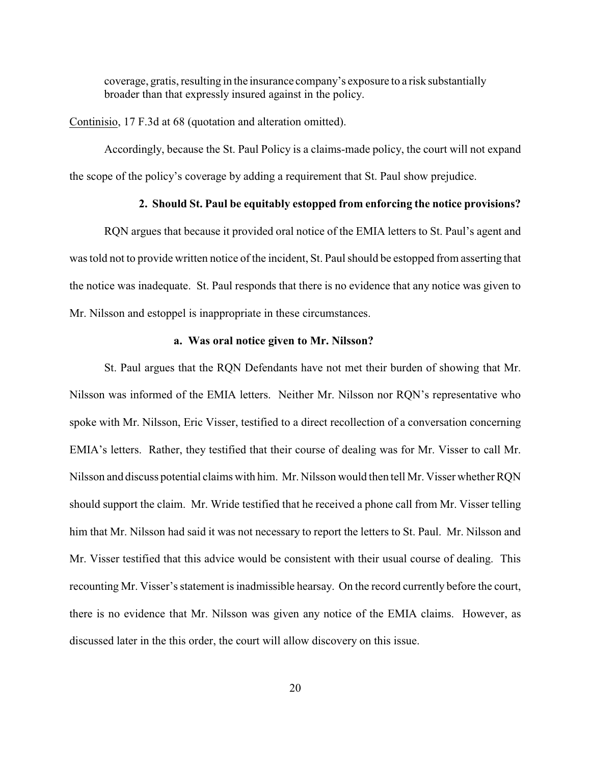coverage, gratis, resulting in the insurance company's exposure to a risk substantially broader than that expressly insured against in the policy.

Continisio, 17 F.3d at 68 (quotation and alteration omitted).

Accordingly, because the St. Paul Policy is a claims-made policy, the court will not expand the scope of the policy's coverage by adding a requirement that St. Paul show prejudice.

# **2. Should St. Paul be equitably estopped from enforcing the notice provisions?**

RQN argues that because it provided oral notice of the EMIA letters to St. Paul's agent and was told not to provide written notice of the incident, St. Paul should be estopped from asserting that the notice was inadequate. St. Paul responds that there is no evidence that any notice was given to Mr. Nilsson and estoppel is inappropriate in these circumstances.

## **a. Was oral notice given to Mr. Nilsson?**

St. Paul argues that the RQN Defendants have not met their burden of showing that Mr. Nilsson was informed of the EMIA letters. Neither Mr. Nilsson nor RQN's representative who spoke with Mr. Nilsson, Eric Visser, testified to a direct recollection of a conversation concerning EMIA's letters. Rather, they testified that their course of dealing was for Mr. Visser to call Mr. Nilsson and discuss potential claims with him. Mr. Nilsson would then tell Mr. Visser whetherRQN should support the claim. Mr. Wride testified that he received a phone call from Mr. Visser telling him that Mr. Nilsson had said it was not necessary to report the letters to St. Paul. Mr. Nilsson and Mr. Visser testified that this advice would be consistent with their usual course of dealing. This recounting Mr. Visser's statement is inadmissible hearsay. On the record currently before the court, there is no evidence that Mr. Nilsson was given any notice of the EMIA claims. However, as discussed later in the this order, the court will allow discovery on this issue.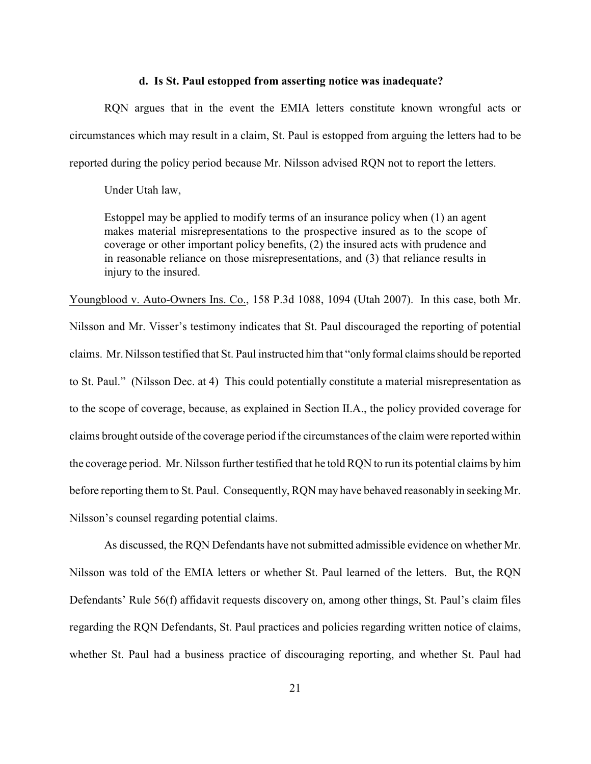## **d. Is St. Paul estopped from asserting notice was inadequate?**

RQN argues that in the event the EMIA letters constitute known wrongful acts or circumstances which may result in a claim, St. Paul is estopped from arguing the letters had to be reported during the policy period because Mr. Nilsson advised RQN not to report the letters.

Under Utah law,

Estoppel may be applied to modify terms of an insurance policy when (1) an agent makes material misrepresentations to the prospective insured as to the scope of coverage or other important policy benefits, (2) the insured acts with prudence and in reasonable reliance on those misrepresentations, and (3) that reliance results in injury to the insured.

Youngblood v. Auto-Owners Ins. Co., 158 P.3d 1088, 1094 (Utah 2007). In this case, both Mr. Nilsson and Mr. Visser's testimony indicates that St. Paul discouraged the reporting of potential claims. Mr. Nilsson testified that St. Paul instructed him that "only formal claims should be reported to St. Paul." (Nilsson Dec. at 4) This could potentially constitute a material misrepresentation as to the scope of coverage, because, as explained in Section II.A., the policy provided coverage for claims brought outside of the coverage period if the circumstances of the claim were reported within the coverage period. Mr. Nilsson further testified that he told RQN to run its potential claims by him before reporting them to St. Paul. Consequently, RQN may have behaved reasonably in seeking Mr. Nilsson's counsel regarding potential claims.

As discussed, the RQN Defendants have not submitted admissible evidence on whether Mr. Nilsson was told of the EMIA letters or whether St. Paul learned of the letters. But, the RQN Defendants' Rule 56(f) affidavit requests discovery on, among other things, St. Paul's claim files regarding the RQN Defendants, St. Paul practices and policies regarding written notice of claims, whether St. Paul had a business practice of discouraging reporting, and whether St. Paul had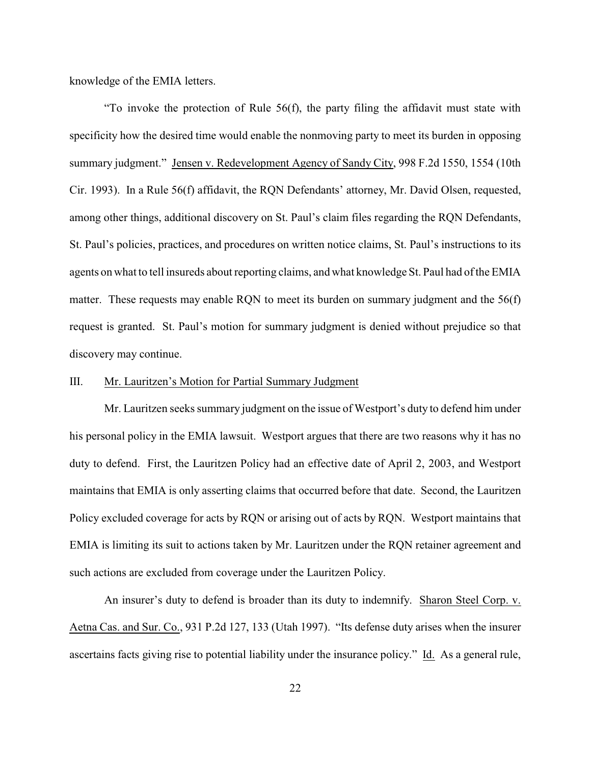knowledge of the EMIA letters.

"To invoke the protection of Rule 56(f), the party filing the affidavit must state with specificity how the desired time would enable the nonmoving party to meet its burden in opposing summary judgment." Jensen v. Redevelopment Agency of Sandy City, 998 F.2d 1550, 1554 (10th Cir. 1993). In a Rule 56(f) affidavit, the RQN Defendants' attorney, Mr. David Olsen, requested, among other things, additional discovery on St. Paul's claim files regarding the RQN Defendants, St. Paul's policies, practices, and procedures on written notice claims, St. Paul's instructions to its agents on what to tell insureds about reporting claims, and what knowledge St. Paul had of the EMIA matter. These requests may enable RQN to meet its burden on summary judgment and the 56(f) request is granted. St. Paul's motion for summary judgment is denied without prejudice so that discovery may continue.

## III. Mr. Lauritzen's Motion for Partial Summary Judgment

Mr. Lauritzen seeks summary judgment on the issue of Westport's duty to defend him under his personal policy in the EMIA lawsuit. Westport argues that there are two reasons why it has no duty to defend. First, the Lauritzen Policy had an effective date of April 2, 2003, and Westport maintains that EMIA is only asserting claims that occurred before that date. Second, the Lauritzen Policy excluded coverage for acts by RQN or arising out of acts by RQN. Westport maintains that EMIA is limiting its suit to actions taken by Mr. Lauritzen under the RQN retainer agreement and such actions are excluded from coverage under the Lauritzen Policy.

An insurer's duty to defend is broader than its duty to indemnify. Sharon Steel Corp. v. Aetna Cas. and Sur. Co., 931 P.2d 127, 133 (Utah 1997). "Its defense duty arises when the insurer ascertains facts giving rise to potential liability under the insurance policy." Id. As a general rule,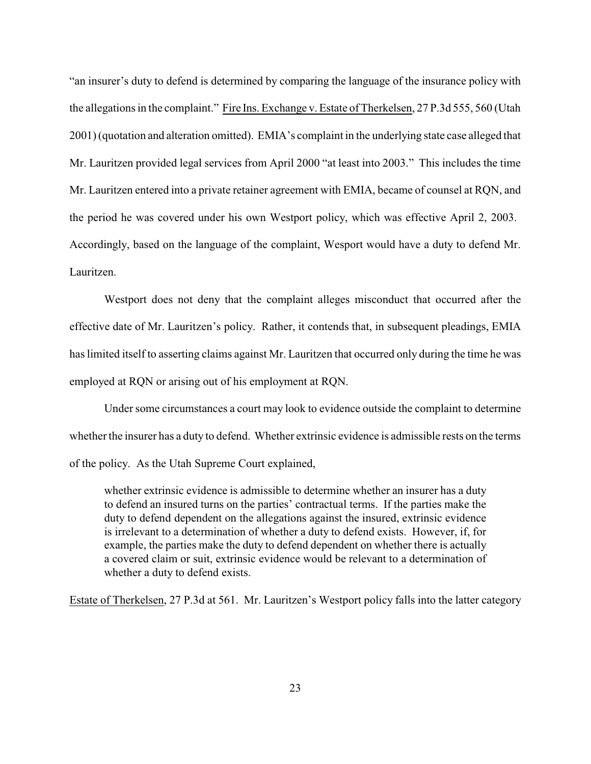"an insurer's duty to defend is determined by comparing the language of the insurance policy with the allegations in the complaint." Fire Ins. Exchange v. Estate of Therkelsen, 27 P.3d 555, 560 (Utah 2001) (quotation and alteration omitted). EMIA's complaint in the underlying state case alleged that Mr. Lauritzen provided legal services from April 2000 "at least into 2003." This includes the time Mr. Lauritzen entered into a private retainer agreement with EMIA, became of counsel at RQN, and the period he was covered under his own Westport policy, which was effective April 2, 2003. Accordingly, based on the language of the complaint, Wesport would have a duty to defend Mr. Lauritzen.

Westport does not deny that the complaint alleges misconduct that occurred after the effective date of Mr. Lauritzen's policy. Rather, it contends that, in subsequent pleadings, EMIA has limited itself to asserting claims against Mr. Lauritzen that occurred only during the time he was employed at RQN or arising out of his employment at RQN.

Under some circumstances a court may look to evidence outside the complaint to determine whether the insurer has a duty to defend. Whether extrinsic evidence is admissible rests on the terms of the policy. As the Utah Supreme Court explained,

whether extrinsic evidence is admissible to determine whether an insurer has a duty to defend an insured turns on the parties' contractual terms. If the parties make the duty to defend dependent on the allegations against the insured, extrinsic evidence is irrelevant to a determination of whether a duty to defend exists. However, if, for example, the parties make the duty to defend dependent on whether there is actually a covered claim or suit, extrinsic evidence would be relevant to a determination of whether a duty to defend exists.

Estate of Therkelsen, 27 P.3d at 561. Mr. Lauritzen's Westport policy falls into the latter category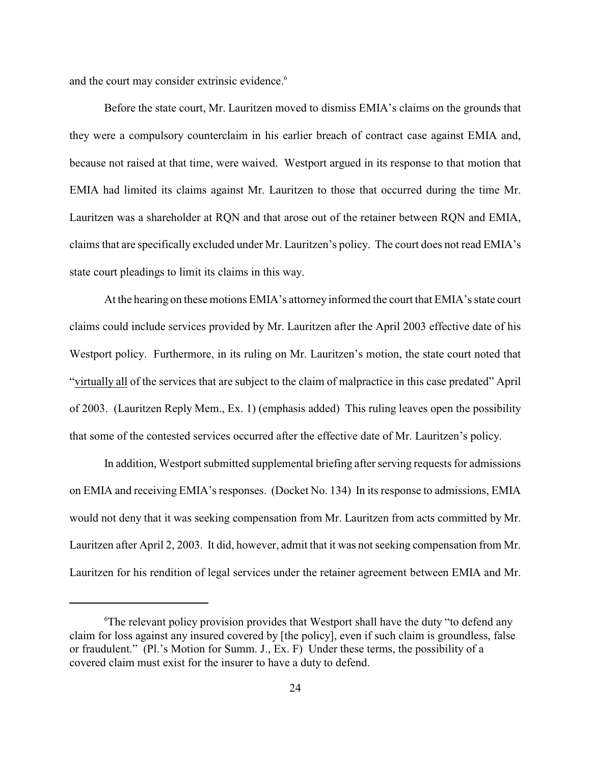and the court may consider extrinsic evidence.<sup>6</sup>

Before the state court, Mr. Lauritzen moved to dismiss EMIA's claims on the grounds that they were a compulsory counterclaim in his earlier breach of contract case against EMIA and, because not raised at that time, were waived. Westport argued in its response to that motion that EMIA had limited its claims against Mr. Lauritzen to those that occurred during the time Mr. Lauritzen was a shareholder at RQN and that arose out of the retainer between RQN and EMIA, claims that are specifically excluded under Mr. Lauritzen's policy. The court does not read EMIA's state court pleadings to limit its claims in this way.

At the hearing on these motions EMIA's attorney informed the court that EMIA's state court claims could include services provided by Mr. Lauritzen after the April 2003 effective date of his Westport policy. Furthermore, in its ruling on Mr. Lauritzen's motion, the state court noted that "virtually all of the services that are subject to the claim of malpractice in this case predated" April of 2003. (Lauritzen Reply Mem., Ex. 1) (emphasis added) This ruling leaves open the possibility that some of the contested services occurred after the effective date of Mr. Lauritzen's policy.

In addition, Westport submitted supplemental briefing after serving requests for admissions on EMIA and receiving EMIA's responses. (Docket No. 134) In its response to admissions, EMIA would not deny that it was seeking compensation from Mr. Lauritzen from acts committed by Mr. Lauritzen after April 2, 2003. It did, however, admit that it was not seeking compensation from Mr. Lauritzen for his rendition of legal services under the retainer agreement between EMIA and Mr.

<sup>&</sup>lt;sup>6</sup>The relevant policy provision provides that Westport shall have the duty "to defend any claim for loss against any insured covered by [the policy], even if such claim is groundless, false or fraudulent." (Pl.'s Motion for Summ. J., Ex. F) Under these terms, the possibility of a covered claim must exist for the insurer to have a duty to defend.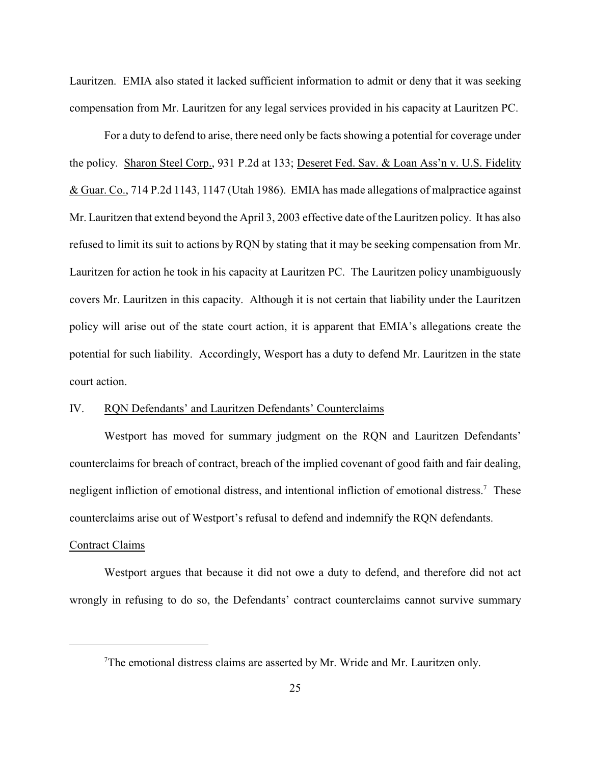Lauritzen. EMIA also stated it lacked sufficient information to admit or deny that it was seeking compensation from Mr. Lauritzen for any legal services provided in his capacity at Lauritzen PC.

For a duty to defend to arise, there need only be facts showing a potential for coverage under the policy. Sharon Steel Corp., 931 P.2d at 133; Deseret Fed. Sav. & Loan Ass'n v. U.S. Fidelity & Guar. Co., 714 P.2d 1143, 1147 (Utah 1986). EMIA has made allegations of malpractice against Mr. Lauritzen that extend beyond the April 3, 2003 effective date of the Lauritzen policy. It has also refused to limit its suit to actions by RQN by stating that it may be seeking compensation from Mr. Lauritzen for action he took in his capacity at Lauritzen PC. The Lauritzen policy unambiguously covers Mr. Lauritzen in this capacity. Although it is not certain that liability under the Lauritzen policy will arise out of the state court action, it is apparent that EMIA's allegations create the potential for such liability. Accordingly, Wesport has a duty to defend Mr. Lauritzen in the state court action.

# IV. RQN Defendants' and Lauritzen Defendants' Counterclaims

Westport has moved for summary judgment on the RQN and Lauritzen Defendants' counterclaims for breach of contract, breach of the implied covenant of good faith and fair dealing, negligent infliction of emotional distress, and intentional infliction of emotional distress.<sup>7</sup> These counterclaims arise out of Westport's refusal to defend and indemnify the RQN defendants.

#### Contract Claims

Westport argues that because it did not owe a duty to defend, and therefore did not act wrongly in refusing to do so, the Defendants' contract counterclaims cannot survive summary

The emotional distress claims are asserted by Mr. Wride and Mr. Lauritzen only.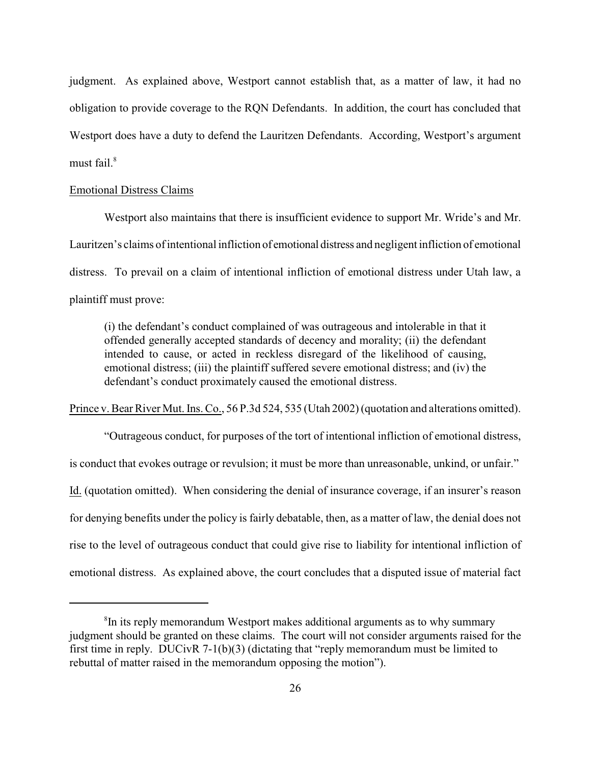judgment. As explained above, Westport cannot establish that, as a matter of law, it had no obligation to provide coverage to the RQN Defendants. In addition, the court has concluded that Westport does have a duty to defend the Lauritzen Defendants. According, Westport's argument must fail. $8$ 

## Emotional Distress Claims

Westport also maintains that there is insufficient evidence to support Mr. Wride's and Mr. Lauritzen's claims of intentional infliction of emotional distress and negligent infliction of emotional distress. To prevail on a claim of intentional infliction of emotional distress under Utah law, a plaintiff must prove:

(i) the defendant's conduct complained of was outrageous and intolerable in that it offended generally accepted standards of decency and morality; (ii) the defendant intended to cause, or acted in reckless disregard of the likelihood of causing, emotional distress; (iii) the plaintiff suffered severe emotional distress; and (iv) the defendant's conduct proximately caused the emotional distress.

Prince v. Bear River Mut. Ins. Co., 56 P.3d 524, 535 (Utah 2002) (quotation and alterations omitted).

"Outrageous conduct, for purposes of the tort of intentional infliction of emotional distress, is conduct that evokes outrage or revulsion; it must be more than unreasonable, unkind, or unfair." Id. (quotation omitted). When considering the denial of insurance coverage, if an insurer's reason for denying benefits under the policy is fairly debatable, then, as a matter of law, the denial does not rise to the level of outrageous conduct that could give rise to liability for intentional infliction of emotional distress. As explained above, the court concludes that a disputed issue of material fact

<sup>&</sup>lt;sup>8</sup>In its reply memorandum Westport makes additional arguments as to why summary judgment should be granted on these claims. The court will not consider arguments raised for the first time in reply. DUCivR 7-1(b)(3) (dictating that "reply memorandum must be limited to rebuttal of matter raised in the memorandum opposing the motion").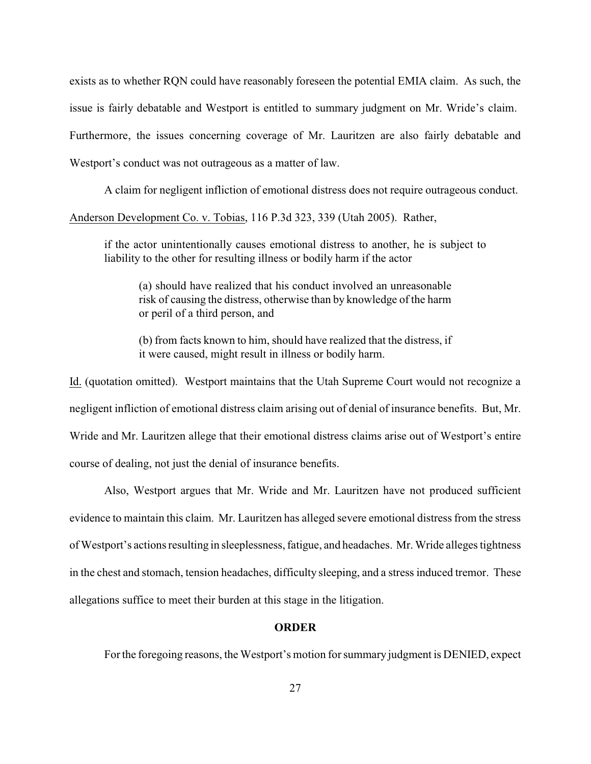exists as to whether RQN could have reasonably foreseen the potential EMIA claim. As such, the issue is fairly debatable and Westport is entitled to summary judgment on Mr. Wride's claim. Furthermore, the issues concerning coverage of Mr. Lauritzen are also fairly debatable and Westport's conduct was not outrageous as a matter of law.

A claim for negligent infliction of emotional distress does not require outrageous conduct. Anderson Development Co. v. Tobias, 116 P.3d 323, 339 (Utah 2005). Rather,

if the actor unintentionally causes emotional distress to another, he is subject to liability to the other for resulting illness or bodily harm if the actor

(a) should have realized that his conduct involved an unreasonable risk of causing the distress, otherwise than by knowledge of the harm or peril of a third person, and

(b) from facts known to him, should have realized that the distress, if it were caused, might result in illness or bodily harm.

Id. (quotation omitted). Westport maintains that the Utah Supreme Court would not recognize a negligent infliction of emotional distress claim arising out of denial of insurance benefits. But, Mr. Wride and Mr. Lauritzen allege that their emotional distress claims arise out of Westport's entire course of dealing, not just the denial of insurance benefits.

Also, Westport argues that Mr. Wride and Mr. Lauritzen have not produced sufficient evidence to maintain this claim. Mr. Lauritzen has alleged severe emotional distress from the stress of Westport's actions resulting in sleeplessness, fatigue, and headaches. Mr. Wride alleges tightness in the chest and stomach, tension headaches, difficulty sleeping, and a stress induced tremor. These allegations suffice to meet their burden at this stage in the litigation.

## **ORDER**

Forthe foregoing reasons, the Westport's motion for summary judgment is DENIED, expect